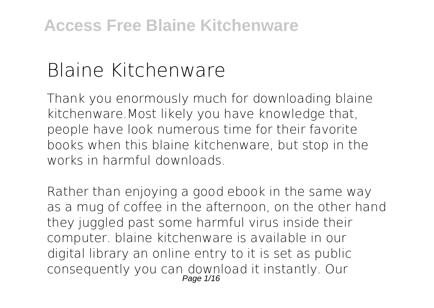# **Blaine Kitchenware**

Thank you enormously much for downloading **blaine kitchenware**.Most likely you have knowledge that, people have look numerous time for their favorite books when this blaine kitchenware, but stop in the works in harmful downloads.

Rather than enjoying a good ebook in the same way as a mug of coffee in the afternoon, on the other hand they juggled past some harmful virus inside their computer. **blaine kitchenware** is available in our digital library an online entry to it is set as public consequently you can download it instantly. Our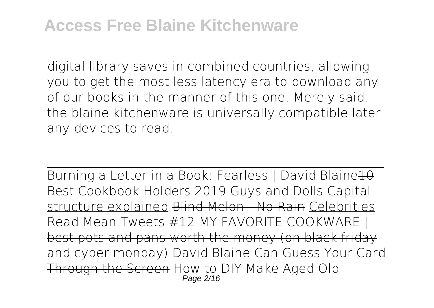## **Access Free Blaine Kitchenware**

digital library saves in combined countries, allowing you to get the most less latency era to download any of our books in the manner of this one. Merely said, the blaine kitchenware is universally compatible later any devices to read.

Burning a Letter in a Book: Fearless | David Blaine 10 Best Cookbook Holders 2019 **Guys and Dolls** Capital structure explained Blind Melon No Rain Celebrities Read Mean Tweets #12 MY FAVORITE COOKWARE best pots and pans worth the money (on black friday and cyber monday) David Blaine Can Guess Your Card Through the Screen **How to DIY Make Aged Old** Page 2/16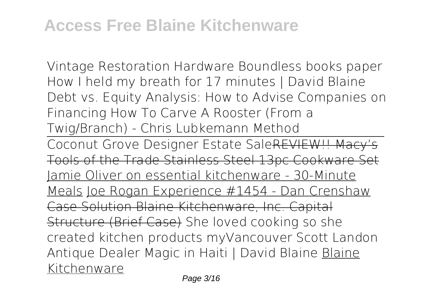**Vintage Restoration Hardware Boundless books paper How I held my breath for 17 minutes | David Blaine** *Debt vs. Equity Analysis: How to Advise Companies on Financing How To Carve A Rooster (From a Twig/Branch) - Chris Lubkemann Method*

Coconut Grove Designer Estate SaleREVIEW!! Macy's Tools of the Trade Stainless Steel 13pc Cookware Set Jamie Oliver on essential kitchenware - 30-Minute Meals Joe Rogan Experience #1454 - Dan Crenshaw Case Solution Blaine Kitchenware, Inc. Capital Structure (Brief Case) *She loved cooking so she created kitchen products myVancouver Scott Landon Antique Dealer* **Magic in Haiti | David Blaine** Blaine Kitchenware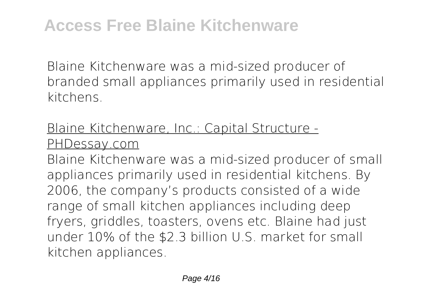Blaine Kitchenware was a mid-sized producer of branded small appliances primarily used in residential kitchens.

#### Blaine Kitchenware, Inc.: Capital Structure - PHDessay.com

Blaine Kitchenware was a mid-sized producer of small appliances primarily used in residential kitchens. By 2006, the company's products consisted of a wide range of small kitchen appliances including deep fryers, griddles, toasters, ovens etc. Blaine had just under 10% of the \$2.3 billion U.S. market for small kitchen appliances.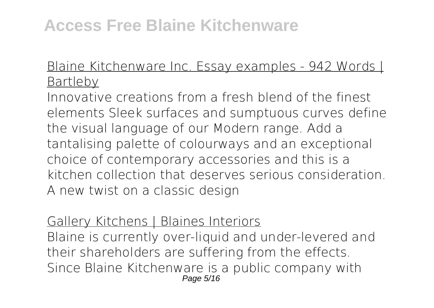#### Blaine Kitchenware Inc. Essay examples - 942 Words | Bartleby

Innovative creations from a fresh blend of the finest elements Sleek surfaces and sumptuous curves define the visual language of our Modern range. Add a tantalising palette of colourways and an exceptional choice of contemporary accessories and this is a kitchen collection that deserves serious consideration. A new twist on a classic design

#### Gallery Kitchens | Blaines Interiors

Blaine is currently over-liquid and under-levered and their shareholders are suffering from the effects. Since Blaine Kitchenware is a public company with Page 5/16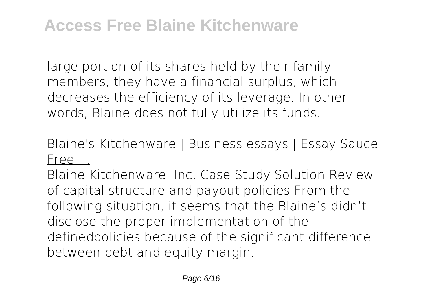large portion of its shares held by their family members, they have a financial surplus, which decreases the efficiency of its leverage. In other words, Blaine does not fully utilize its funds.

## Blaine's Kitchenware | Business essays | Essay Sauce Free ...

Blaine Kitchenware, Inc. Case Study Solution Review of capital structure and payout policies From the following situation, it seems that the Blaine's didn't disclose the proper implementation of the definedpolicies because of the significant difference between debt and equity margin.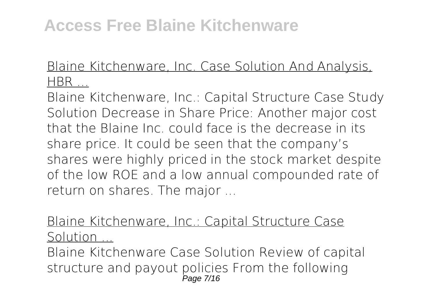#### Blaine Kitchenware, Inc. Case Solution And Analysis, HBR ...

Blaine Kitchenware, Inc.: Capital Structure Case Study Solution Decrease in Share Price: Another major cost that the Blaine Inc. could face is the decrease in its share price. It could be seen that the company's shares were highly priced in the stock market despite of the low ROE and a low annual compounded rate of return on shares. The major ...

## Blaine Kitchenware, Inc.: Capital Structure Case Solution ...

Blaine Kitchenware Case Solution Review of capital structure and payout policies From the following Page 7/16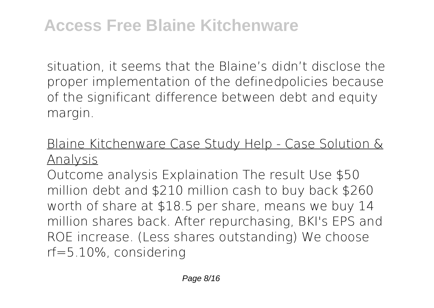situation, it seems that the Blaine's didn't disclose the proper implementation of the definedpolicies because of the significant difference between debt and equity margin.

## Blaine Kitchenware Case Study Help - Case Solution & Analysis

Outcome analysis Explaination The result Use \$50 million debt and \$210 million cash to buy back \$260 worth of share at \$18.5 per share, means we buy 14 million shares back. After repurchasing, BKI's EPS and ROE increase. (Less shares outstanding) We choose rf=5.10%, considering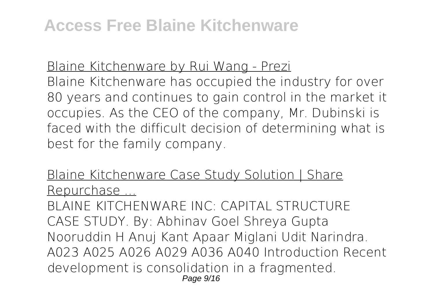#### Blaine Kitchenware by Rui Wang - Prezi

Blaine Kitchenware has occupied the industry for over 80 years and continues to gain control in the market it occupies. As the CEO of the company, Mr. Dubinski is faced with the difficult decision of determining what is best for the family company.

#### Blaine Kitchenware Case Study Solution | Share Repurchase ...

BLAINE KITCHENWARE INC: CAPITAL STRUCTURE CASE STUDY. By: Abhinav Goel Shreya Gupta Nooruddin H Anuj Kant Apaar Miglani Udit Narindra. A023 A025 A026 A029 A036 A040 Introduction Recent development is consolidation in a fragmented. Page 9/16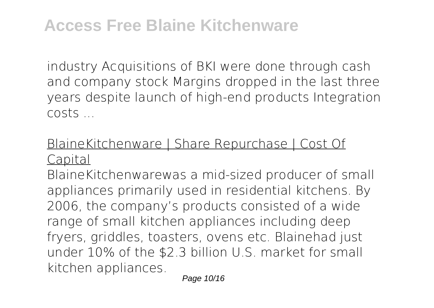industry Acquisitions of BKI were done through cash and company stock Margins dropped in the last three years despite launch of high-end products Integration costs ...

## BlaineKitchenware | Share Repurchase | Cost Of Capital

BlaineKitchenwarewas a mid-sized producer of small appliances primarily used in residential kitchens. By 2006, the company's products consisted of a wide range of small kitchen appliances including deep fryers, griddles, toasters, ovens etc. Blainehad just under 10% of the \$2.3 billion U.S. market for small kitchen appliances.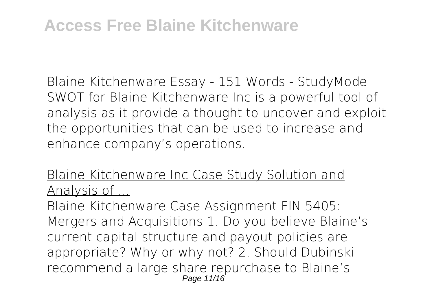Blaine Kitchenware Essay - 151 Words - StudyMode SWOT for Blaine Kitchenware Inc is a powerful tool of analysis as it provide a thought to uncover and exploit the opportunities that can be used to increase and enhance company's operations.

Blaine Kitchenware Inc Case Study Solution and Analysis of ...

Blaine Kitchenware Case Assignment FIN 5405: Mergers and Acquisitions 1. Do you believe Blaine's current capital structure and payout policies are appropriate? Why or why not? 2. Should Dubinski recommend a large share repurchase to Blaine's Page 11/16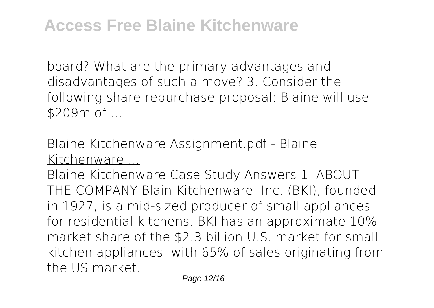board? What are the primary advantages and disadvantages of such a move? 3. Consider the following share repurchase proposal: Blaine will use \$209m of ...

## Blaine Kitchenware Assignment.pdf - Blaine Kitchenware ...

Blaine Kitchenware Case Study Answers 1. ABOUT THE COMPANY Blain Kitchenware, Inc. (BKI), founded in 1927, is a mid-sized producer of small appliances for residential kitchens. BKI has an approximate 10% market share of the \$2.3 billion U.S. market for small kitchen appliances, with 65% of sales originating from the US market.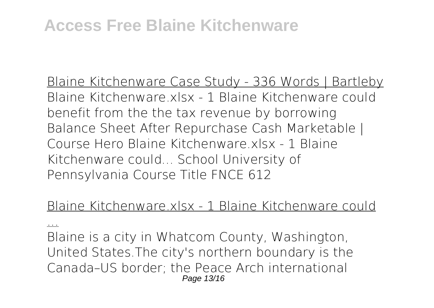Blaine Kitchenware Case Study - 336 Words | Bartleby Blaine Kitchenware.xlsx - 1 Blaine Kitchenware could benefit from the the tax revenue by borrowing Balance Sheet After Repurchase Cash Marketable | Course Hero Blaine Kitchenware xlsx - 1 Blaine Kitchenware could... School University of Pennsylvania Course Title FNCE 612

#### Blaine Kitchenware.xlsx - 1 Blaine Kitchenware could

...

Blaine is a city in Whatcom County, Washington, United States.The city's northern boundary is the Canada–US border; the Peace Arch international Page 13/16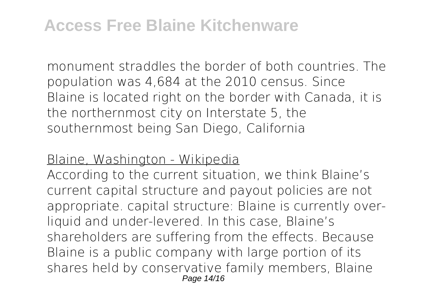monument straddles the border of both countries. The population was 4,684 at the 2010 census. Since Blaine is located right on the border with Canada, it is the northernmost city on Interstate 5, the southernmost being San Diego, California

#### Blaine, Washington - Wikipedia

According to the current situation, we think Blaine's current capital structure and payout policies are not appropriate. capital structure: Blaine is currently overliquid and under-levered. In this case, Blaine's shareholders are suffering from the effects. Because Blaine is a public company with large portion of its shares held by conservative family members, Blaine Page 14/16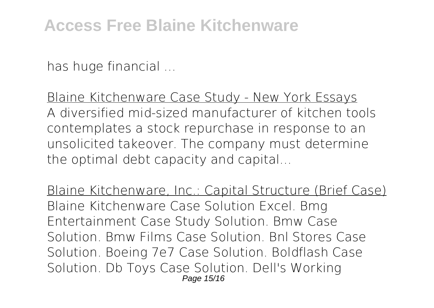has huge financial ...

Blaine Kitchenware Case Study - New York Essays A diversified mid-sized manufacturer of kitchen tools contemplates a stock repurchase in response to an unsolicited takeover. The company must determine the optimal debt capacity and capital...

Blaine Kitchenware, Inc.: Capital Structure (Brief Case) Blaine Kitchenware Case Solution Excel. Bmg Entertainment Case Study Solution. Bmw Case Solution. Bmw Films Case Solution. Bnl Stores Case Solution. Boeing 7e7 Case Solution. Boldflash Case Solution. Db Toys Case Solution. Dell's Working Page 15/16